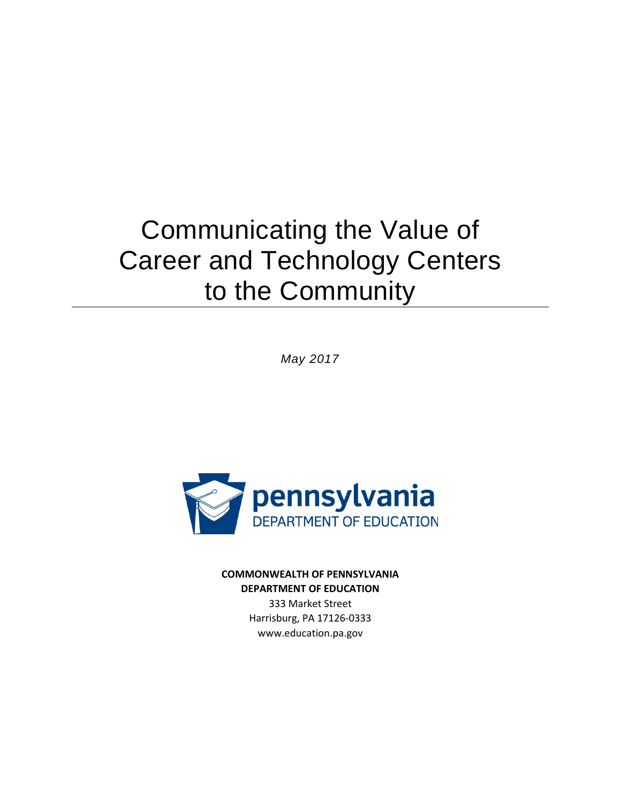# Communicating the Value of Career and Technology Centers to the Community

*May 2017*



**COMMONWEALTH OF PENNSYLVANIA DEPARTMENT OF EDUCATION**

> 333 Market Street Harrisburg, PA 17126-0333 www.education.pa.gov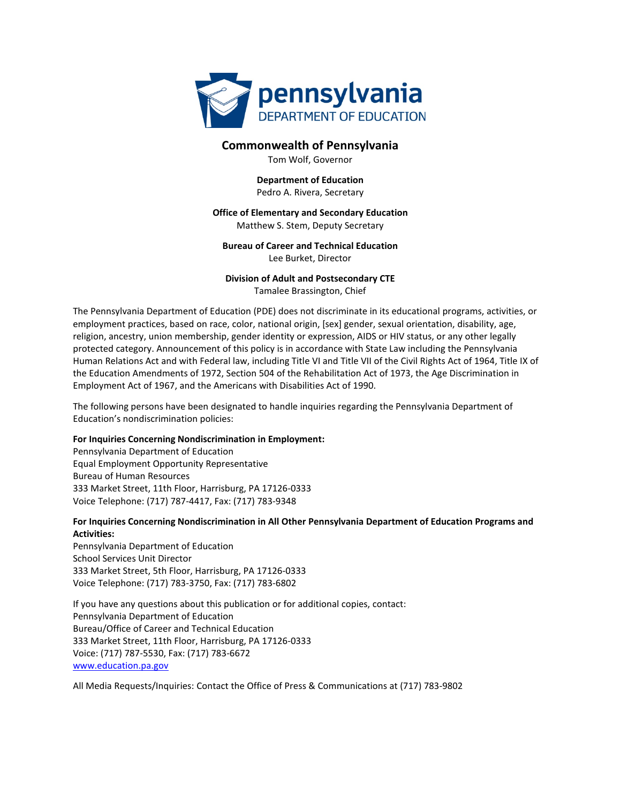

#### **Commonwealth of Pennsylvania**

Tom Wolf, Governor

#### **Department of Education**

Pedro A. Rivera, Secretary

#### **Office of Elementary and Secondary Education**

Matthew S. Stem, Deputy Secretary

#### **Bureau of Career and Technical Education** Lee Burket, Director

#### **Division of Adult and Postsecondary CTE** Tamalee Brassington, Chief

The Pennsylvania Department of Education (PDE) does not discriminate in its educational programs, activities, or employment practices, based on race, color, national origin, [sex] gender, sexual orientation, disability, age, religion, ancestry, union membership, gender identity or expression, AIDS or HIV status, or any other legally protected category. Announcement of this policy is in accordance with State Law including the Pennsylvania Human Relations Act and with Federal law, including Title VI and Title VII of the Civil Rights Act of 1964, Title IX of the Education Amendments of 1972, Section 504 of the Rehabilitation Act of 1973, the Age Discrimination in Employment Act of 1967, and the Americans with Disabilities Act of 1990.

The following persons have been designated to handle inquiries regarding the Pennsylvania Department of Education's nondiscrimination policies:

#### **For Inquiries Concerning Nondiscrimination in Employment:**

Pennsylvania Department of Education Equal Employment Opportunity Representative Bureau of Human Resources 333 Market Street, 11th Floor, Harrisburg, PA 17126-0333 Voice Telephone: (717) 787-4417, Fax: (717) 783-9348

#### **For Inquiries Concerning Nondiscrimination in All Other Pennsylvania Department of Education Programs and Activities:**

Pennsylvania Department of Education School Services Unit Director 333 Market Street, 5th Floor, Harrisburg, PA 17126-0333 Voice Telephone: (717) 783-3750, Fax: (717) 783-6802

If you have any questions about this publication or for additional copies, contact: Pennsylvania Department of Education Bureau/Office of Career and Technical Education 333 Market Street, 11th Floor, Harrisburg, PA 17126-0333 Voice: (717) 787-5530, Fax: (717) 783-6672 [www.education.pa.gov](http://www.education.pa.gov/)

All Media Requests/Inquiries: Contact the Office of Press & Communications at (717) 783-9802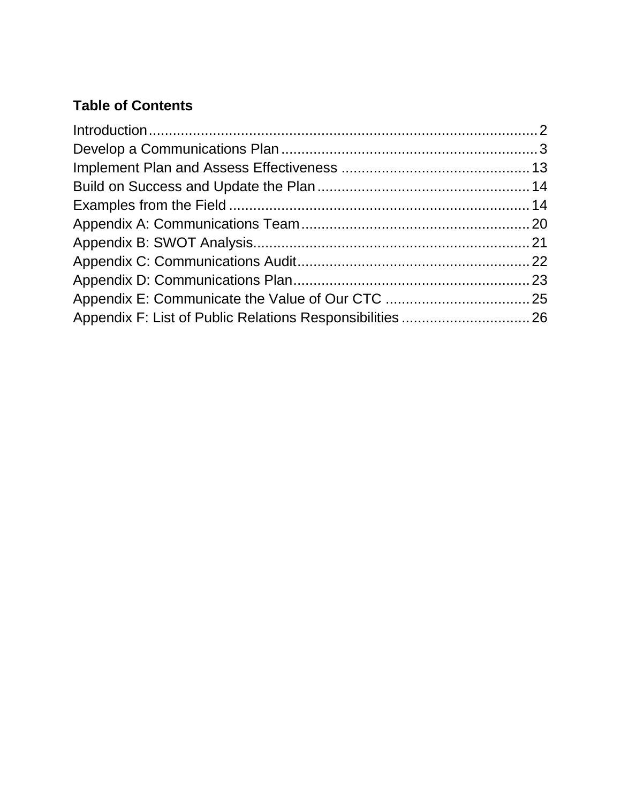## **Table of Contents**

| Appendix F: List of Public Relations Responsibilities  26 |  |
|-----------------------------------------------------------|--|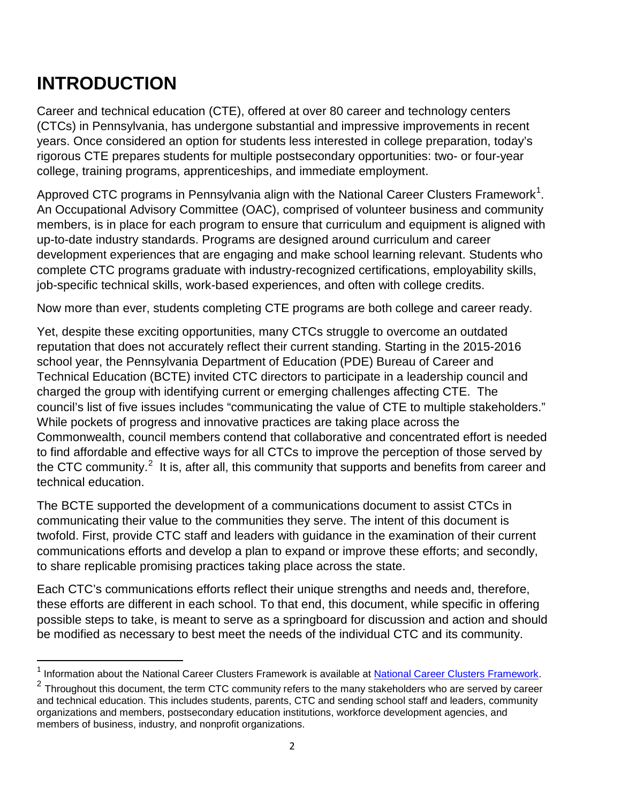## **INTRODUCTION**

 $\overline{\phantom{a}}$ 

Career and technical education (CTE), offered at over 80 career and technology centers (CTCs) in Pennsylvania, has undergone substantial and impressive improvements in recent years. Once considered an option for students less interested in college preparation, today's rigorous CTE prepares students for multiple postsecondary opportunities: two- or four-year college, training programs, apprenticeships, and immediate employment.

Approved CTC programs in Pennsylvania align with the National Career Clusters Framework<sup>[1](#page-3-0)</sup>. An Occupational Advisory Committee (OAC), comprised of volunteer business and community members, is in place for each program to ensure that curriculum and equipment is aligned with up-to-date industry standards. Programs are designed around curriculum and career development experiences that are engaging and make school learning relevant. Students who complete CTC programs graduate with industry-recognized certifications, employability skills, job-specific technical skills, work-based experiences, and often with college credits.

Now more than ever, students completing CTE programs are both college and career ready.

Yet, despite these exciting opportunities, many CTCs struggle to overcome an outdated reputation that does not accurately reflect their current standing. Starting in the 2015-2016 school year, the Pennsylvania Department of Education (PDE) Bureau of Career and Technical Education (BCTE) invited CTC directors to participate in a leadership council and charged the group with identifying current or emerging challenges affecting CTE. The council's list of five issues includes "communicating the value of CTE to multiple stakeholders." While pockets of progress and innovative practices are taking place across the Commonwealth, council members contend that collaborative and concentrated effort is needed to find affordable and effective ways for all CTCs to improve the perception of those served by the CTC community.<sup>[2](#page-3-1)</sup> It is, after all, this community that supports and benefits from career and technical education.

The BCTE supported the development of a communications document to assist CTCs in communicating their value to the communities they serve. The intent of this document is twofold. First, provide CTC staff and leaders with guidance in the examination of their current communications efforts and develop a plan to expand or improve these efforts; and secondly, to share replicable promising practices taking place across the state.

Each CTC's communications efforts reflect their unique strengths and needs and, therefore, these efforts are different in each school. To that end, this document, while specific in offering possible steps to take, is meant to serve as a springboard for discussion and action and should be modified as necessary to best meet the needs of the individual CTC and its community.

<span id="page-3-0"></span><sup>&</sup>lt;sup>1</sup> Information about the National Career Clusters Framework is available at [National Career Clusters Framework.](https://careertech.org/career-clusters/)

<span id="page-3-1"></span> $2$  Throughout this document, the term CTC community refers to the many stakeholders who are served by career and technical education. This includes students, parents, CTC and sending school staff and leaders, community organizations and members, postsecondary education institutions, workforce development agencies, and members of business, industry, and nonprofit organizations.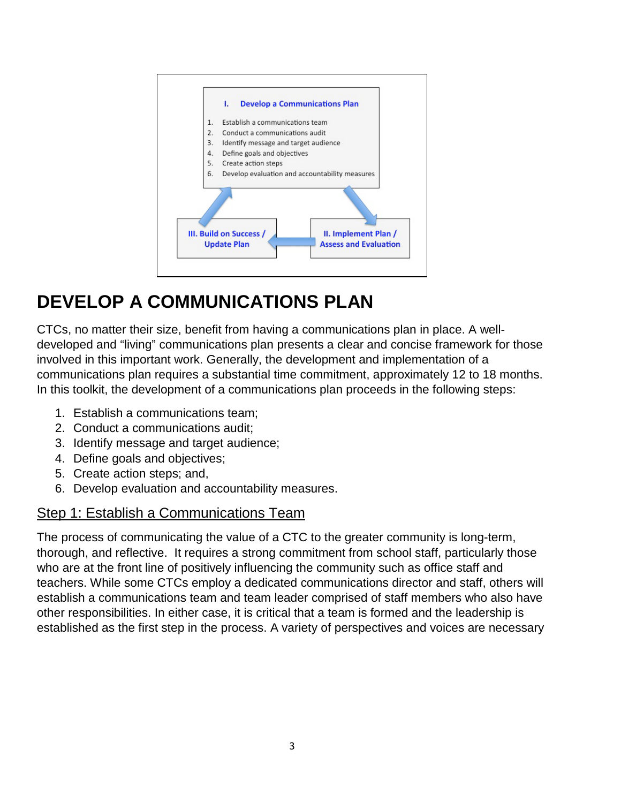

## **DEVELOP A COMMUNICATIONS PLAN**

CTCs, no matter their size, benefit from having a communications plan in place. A welldeveloped and "living" communications plan presents a clear and concise framework for those involved in this important work. Generally, the development and implementation of a communications plan requires a substantial time commitment, approximately 12 to 18 months. In this toolkit, the development of a communications plan proceeds in the following steps:

- 1. Establish a communications team;
- 2. Conduct a communications audit;
- 3. Identify message and target audience;
- 4. Define goals and objectives;
- 5. Create action steps; and,
- 6. Develop evaluation and accountability measures.

### Step 1: Establish a Communications Team

The process of communicating the value of a CTC to the greater community is long-term, thorough, and reflective. It requires a strong commitment from school staff, particularly those who are at the front line of positively influencing the community such as office staff and teachers. While some CTCs employ a dedicated communications director and staff, others will establish a communications team and team leader comprised of staff members who also have other responsibilities. In either case, it is critical that a team is formed and the leadership is established as the first step in the process. A variety of perspectives and voices are necessary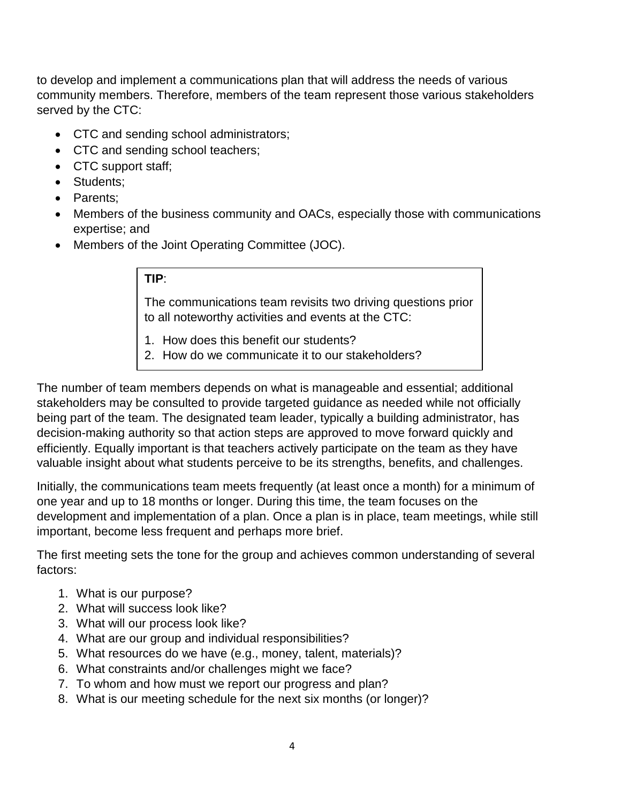to develop and implement a communications plan that will address the needs of various community members. Therefore, members of the team represent those various stakeholders served by the CTC:

- CTC and sending school administrators;
- CTC and sending school teachers;
- CTC support staff;
- Students:
- Parents;
- Members of the business community and OACs, especially those with communications expertise; and
- Members of the Joint Operating Committee (JOC).

#### **TIP**:

The communications team revisits two driving questions prior to all noteworthy activities and events at the CTC:

- 1. How does this benefit our students?
- 2. How do we communicate it to our stakeholders?

The number of team members depends on what is manageable and essential; additional stakeholders may be consulted to provide targeted guidance as needed while not officially being part of the team. The designated team leader, typically a building administrator, has decision-making authority so that action steps are approved to move forward quickly and efficiently. Equally important is that teachers actively participate on the team as they have valuable insight about what students perceive to be its strengths, benefits, and challenges.

Initially, the communications team meets frequently (at least once a month) for a minimum of one year and up to 18 months or longer. During this time, the team focuses on the development and implementation of a plan. Once a plan is in place, team meetings, while still important, become less frequent and perhaps more brief.

The first meeting sets the tone for the group and achieves common understanding of several factors:

- 1. What is our purpose?
- 2. What will success look like?
- 3. What will our process look like?
- 4. What are our group and individual responsibilities?
- 5. What resources do we have (e.g., money, talent, materials)?
- 6. What constraints and/or challenges might we face?
- 7. To whom and how must we report our progress and plan?
- 8. What is our meeting schedule for the next six months (or longer)?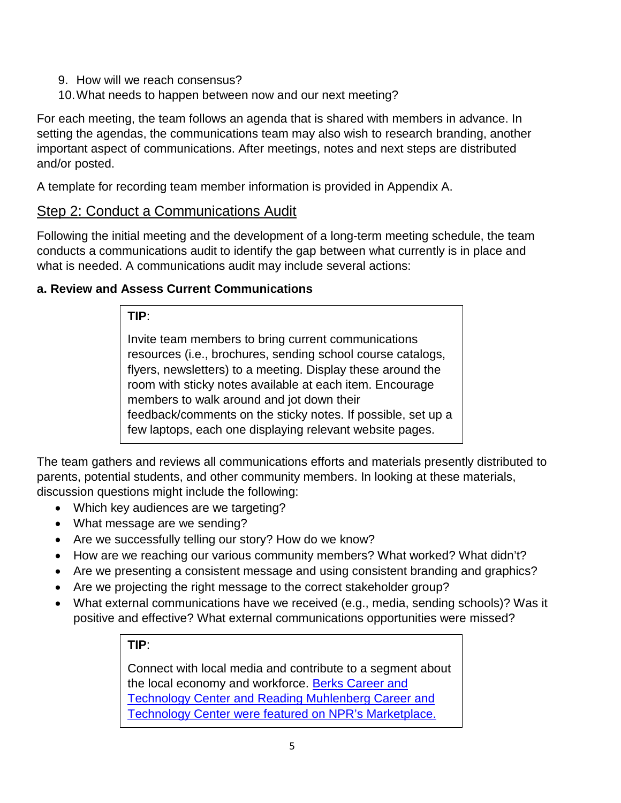- 9. How will we reach consensus?
- 10.What needs to happen between now and our next meeting?

For each meeting, the team follows an agenda that is shared with members in advance. In setting the agendas, the communications team may also wish to research branding, another important aspect of communications. After meetings, notes and next steps are distributed and/or posted.

A template for recording team member information is provided in Appendix A.

### Step 2: Conduct a Communications Audit

Following the initial meeting and the development of a long-term meeting schedule, the team conducts a communications audit to identify the gap between what currently is in place and what is needed. A communications audit may include several actions:

#### **a. Review and Assess Current Communications**

#### **TIP**:

Invite team members to bring current communications resources (i.e., brochures, sending school course catalogs, flyers, newsletters) to a meeting. Display these around the room with sticky notes available at each item. Encourage members to walk around and jot down their feedback/comments on the sticky notes. If possible, set up a few laptops, each one displaying relevant website pages.

The team gathers and reviews all communications efforts and materials presently distributed to parents, potential students, and other community members. In looking at these materials, discussion questions might include the following:

- Which key audiences are we targeting?
- What message are we sending?

j

- Are we successfully telling our story? How do we know?
- How are we reaching our various community members? What worked? What didn't?
- Are we presenting a consistent message and using consistent branding and graphics?
- Are we projecting the right message to the correct stakeholder group?
- What external communications have we received (e.g., media, sending schools)? Was it positive and effective? What external communications opportunities were missed?

#### **TIP**:

Connect with local media and contribute to a segment about the local economy and workforce. [Berks Career and](https://www.marketplace.org/2017/02/23/education/high-school-vo-tech-gets-reboot)  [Technology Center and Reading Muhlenberg Career and](https://www.marketplace.org/2017/02/23/education/high-school-vo-tech-gets-reboot)  [Technology Center were featured on NPR's Marketplace.](https://www.marketplace.org/2017/02/23/education/high-school-vo-tech-gets-reboot)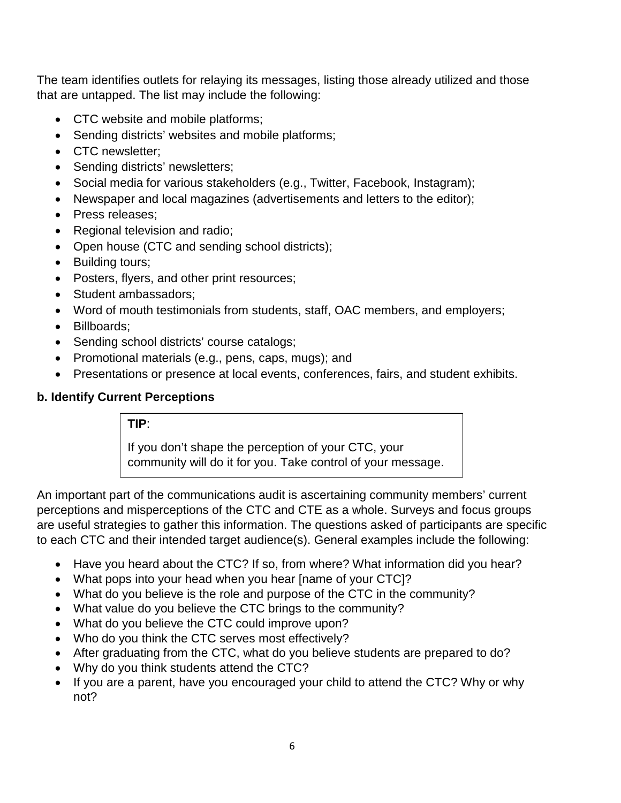The team identifies outlets for relaying its messages, listing those already utilized and those that are untapped. The list may include the following:

- CTC website and mobile platforms;
- Sending districts' websites and mobile platforms;
- CTC newsletter;
- Sending districts' newsletters;
- Social media for various stakeholders (e.g., Twitter, Facebook, Instagram);
- Newspaper and local magazines (advertisements and letters to the editor);
- Press releases;
- Regional television and radio;
- Open house (CTC and sending school districts);
- Building tours;
- Posters, flyers, and other print resources;
- Student ambassadors:
- Word of mouth testimonials from students, staff, OAC members, and employers;
- Billboards;
- Sending school districts' course catalogs;
- Promotional materials (e.g., pens, caps, mugs); and
- Presentations or presence at local events, conferences, fairs, and student exhibits.

#### **b. Identify Current Perceptions**

#### **TIP**:

If you don't shape the perception of your CTC, your community will do it for you. Take control of your message.

An important part of the communications audit is ascertaining community members' current perceptions and misperceptions of the CTC and CTE as a whole. Surveys and focus groups are useful strategies to gather this information. The questions asked of participants are specific to each CTC and their intended target audience(s). General examples include the following:

- Have you heard about the CTC? If so, from where? What information did you hear?
- What pops into your head when you hear [name of your CTC]?
- What do you believe is the role and purpose of the CTC in the community?
- What value do you believe the CTC brings to the community?
- What do you believe the CTC could improve upon?
- Who do you think the CTC serves most effectively?
- After graduating from the CTC, what do you believe students are prepared to do?
- Why do you think students attend the CTC?
- If you are a parent, have you encouraged your child to attend the CTC? Why or why not?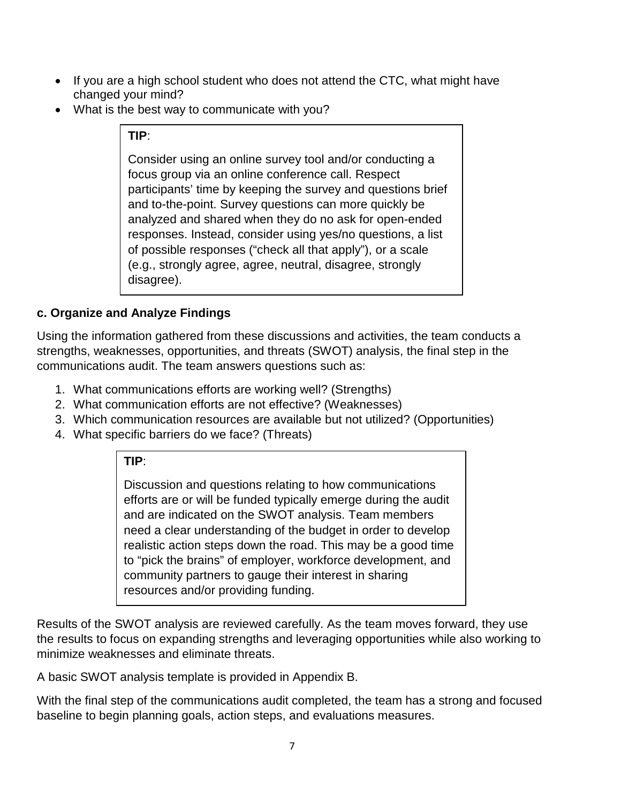- If you are a high school student who does not attend the CTC, what might have changed your mind?
- What is the best way to communicate with you?

#### **TIP**:

Consider using an online survey tool and/or conducting a focus group via an online conference call. Respect participants' time by keeping the survey and questions brief and to-the-point. Survey questions can more quickly be analyzed and shared when they do no ask for open-ended responses. Instead, consider using yes/no questions, a list of possible responses ("check all that apply"), or a scale (e.g., strongly agree, agree, neutral, disagree, strongly disagree).

#### **c. Organize and Analyze Findings**

Using the information gathered from these discussions and activities, the team conducts a strengths, weaknesses, opportunities, and threats (SWOT) analysis, the final step in the communications audit. The team answers questions such as:

- 1. What communications efforts are working well? (Strengths)
- 2. What communication efforts are not effective? (Weaknesses)
- 3. Which communication resources are available but not utilized? (Opportunities)
- 4. What specific barriers do we face? (Threats)

#### **TIP**:

Discussion and questions relating to how communications efforts are or will be funded typically emerge during the audit and are indicated on the SWOT analysis. Team members need a clear understanding of the budget in order to develop realistic action steps down the road. This may be a good time to "pick the brains" of employer, workforce development, and community partners to gauge their interest in sharing resources and/or providing funding.

Results of the SWOT analysis are reviewed carefully. As the team moves forward, they use the results to focus on expanding strengths and leveraging opportunities while also working to minimize weaknesses and eliminate threats.

A basic SWOT analysis template is provided in Appendix B.

With the final step of the communications audit completed, the team has a strong and focused baseline to begin planning goals, action steps, and evaluations measures.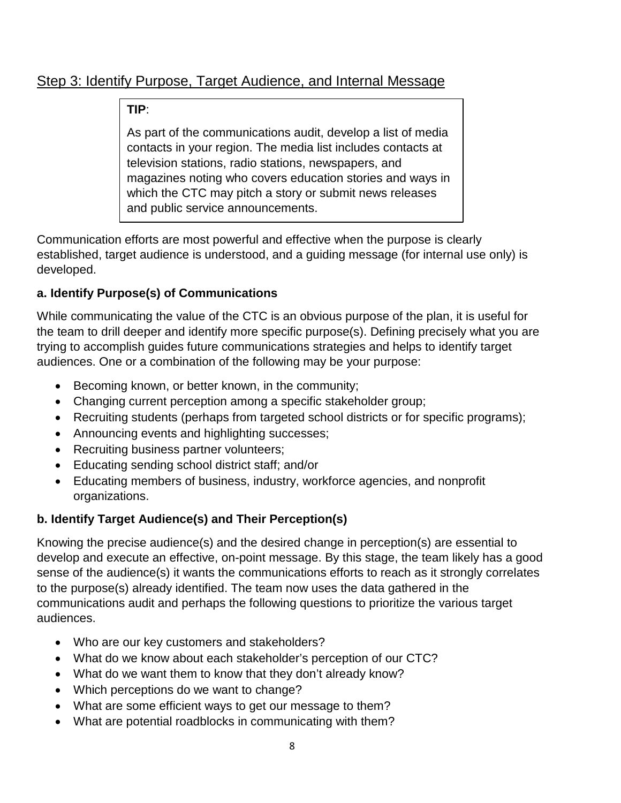### Step 3: Identify Purpose, Target Audience, and Internal Message

#### **TIP**:

As part of the communications audit, develop a list of media contacts in your region. The media list includes contacts at television stations, radio stations, newspapers, and magazines noting who covers education stories and ways in which the CTC may pitch a story or submit news releases and public service announcements.

Communication efforts are most powerful and effective when the purpose is clearly established, target audience is understood, and a guiding message (for internal use only) is developed.

### **a. Identify Purpose(s) of Communications**

While communicating the value of the CTC is an obvious purpose of the plan, it is useful for the team to drill deeper and identify more specific purpose(s). Defining precisely what you are trying to accomplish guides future communications strategies and helps to identify target audiences. One or a combination of the following may be your purpose:

- Becoming known, or better known, in the community;
- Changing current perception among a specific stakeholder group;
- Recruiting students (perhaps from targeted school districts or for specific programs);
- Announcing events and highlighting successes;
- Recruiting business partner volunteers;
- Educating sending school district staff; and/or
- Educating members of business, industry, workforce agencies, and nonprofit organizations.

### **b. Identify Target Audience(s) and Their Perception(s)**

Knowing the precise audience(s) and the desired change in perception(s) are essential to develop and execute an effective, on-point message. By this stage, the team likely has a good sense of the audience(s) it wants the communications efforts to reach as it strongly correlates to the purpose(s) already identified. The team now uses the data gathered in the communications audit and perhaps the following questions to prioritize the various target audiences.

- Who are our key customers and stakeholders?
- What do we know about each stakeholder's perception of our CTC?
- What do we want them to know that they don't already know?
- Which perceptions do we want to change?
- What are some efficient ways to get our message to them?
- What are potential roadblocks in communicating with them?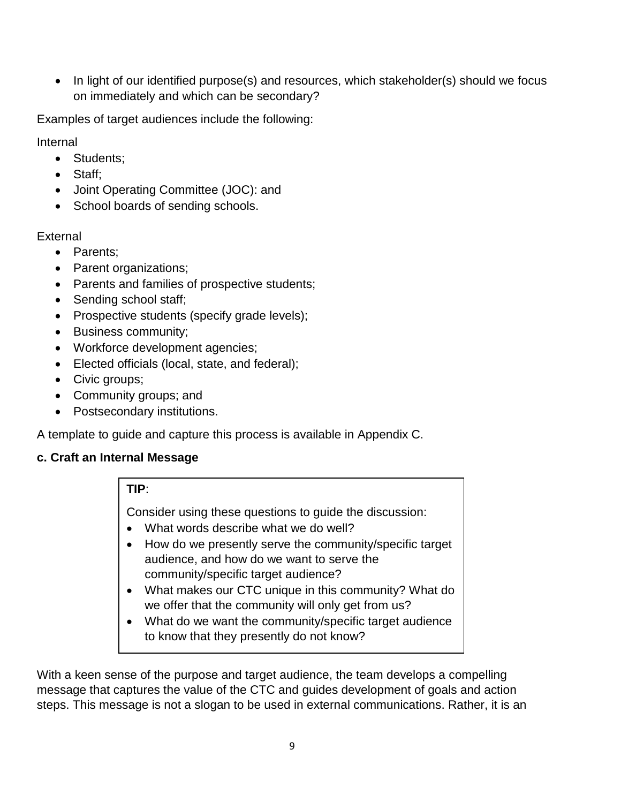• In light of our identified purpose(s) and resources, which stakeholder(s) should we focus on immediately and which can be secondary?

Examples of target audiences include the following:

Internal

- Students;
- Staff;
- Joint Operating Committee (JOC): and
- School boards of sending schools.

**External** 

- Parents;
- Parent organizations;
- Parents and families of prospective students;
- Sending school staff;
- Prospective students (specify grade levels);
- Business community;
- Workforce development agencies;
- Elected officials (local, state, and federal);
- Civic groups;
- Community groups; and
- Postsecondary institutions.

A template to guide and capture this process is available in Appendix C.

#### **c. Craft an Internal Message**

#### **TIP**:

Consider using these questions to guide the discussion:

- What words describe what we do well?
- How do we presently serve the community/specific target audience, and how do we want to serve the community/specific target audience?
- What makes our CTC unique in this community? What do we offer that the community will only get from us?
- What do we want the community/specific target audience to know that they presently do not know?

With a keen sense of the purpose and target audience, the team develops a compelling message that captures the value of the CTC and guides development of goals and action steps. This message is not a slogan to be used in external communications. Rather, it is an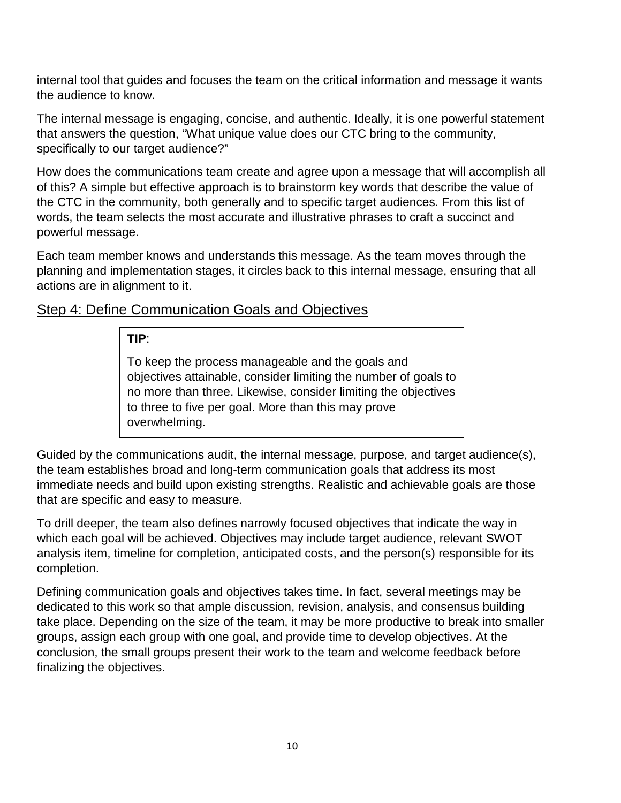internal tool that guides and focuses the team on the critical information and message it wants the audience to know.

The internal message is engaging, concise, and authentic. Ideally, it is one powerful statement that answers the question, "What unique value does our CTC bring to the community, specifically to our target audience?"

How does the communications team create and agree upon a message that will accomplish all of this? A simple but effective approach is to brainstorm key words that describe the value of the CTC in the community, both generally and to specific target audiences. From this list of words, the team selects the most accurate and illustrative phrases to craft a succinct and powerful message.

Each team member knows and understands this message. As the team moves through the planning and implementation stages, it circles back to this internal message, ensuring that all actions are in alignment to it.

#### Step 4: Define Communication Goals and Objectives

#### **TIP**:

To keep the process manageable and the goals and objectives attainable, consider limiting the number of goals to no more than three. Likewise, consider limiting the objectives to three to five per goal. More than this may prove overwhelming.

Guided by the communications audit, the internal message, purpose, and target audience(s), the team establishes broad and long-term communication goals that address its most immediate needs and build upon existing strengths. Realistic and achievable goals are those that are specific and easy to measure.

To drill deeper, the team also defines narrowly focused objectives that indicate the way in which each goal will be achieved. Objectives may include target audience, relevant SWOT analysis item, timeline for completion, anticipated costs, and the person(s) responsible for its completion.

Defining communication goals and objectives takes time. In fact, several meetings may be dedicated to this work so that ample discussion, revision, analysis, and consensus building take place. Depending on the size of the team, it may be more productive to break into smaller groups, assign each group with one goal, and provide time to develop objectives. At the conclusion, the small groups present their work to the team and welcome feedback before finalizing the objectives.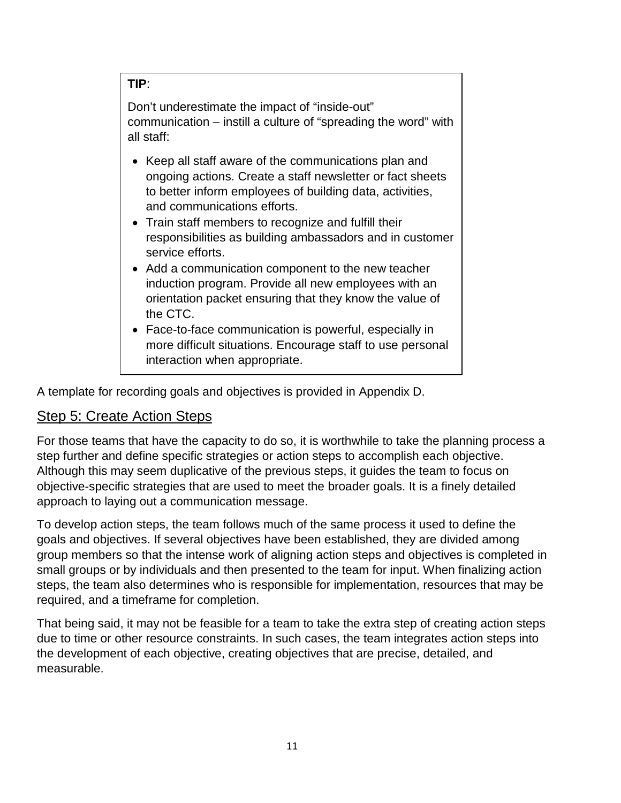#### **TIP**:

Don't underestimate the impact of "inside-out" communication – instill a culture of "spreading the word" with all staff:

- Keep all staff aware of the communications plan and ongoing actions. Create a staff newsletter or fact sheets to better inform employees of building data, activities, and communications efforts.
- Train staff members to recognize and fulfill their responsibilities as building ambassadors and in customer service efforts.
- Add a communication component to the new teacher induction program. Provide all new employees with an orientation packet ensuring that they know the value of the CTC.
- Face-to-face communication is powerful, especially in more difficult situations. Encourage staff to use personal interaction when appropriate.

A template for recording goals and objectives is provided in Appendix D.

### Step 5: Create Action Steps

For those teams that have the capacity to do so, it is worthwhile to take the planning process a step further and define specific strategies or action steps to accomplish each objective. Although this may seem duplicative of the previous steps, it guides the team to focus on objective-specific strategies that are used to meet the broader goals. It is a finely detailed approach to laying out a communication message.

To develop action steps, the team follows much of the same process it used to define the goals and objectives. If several objectives have been established, they are divided among group members so that the intense work of aligning action steps and objectives is completed in small groups or by individuals and then presented to the team for input. When finalizing action steps, the team also determines who is responsible for implementation, resources that may be required, and a timeframe for completion.

That being said, it may not be feasible for a team to take the extra step of creating action steps due to time or other resource constraints. In such cases, the team integrates action steps into the development of each objective, creating objectives that are precise, detailed, and measurable.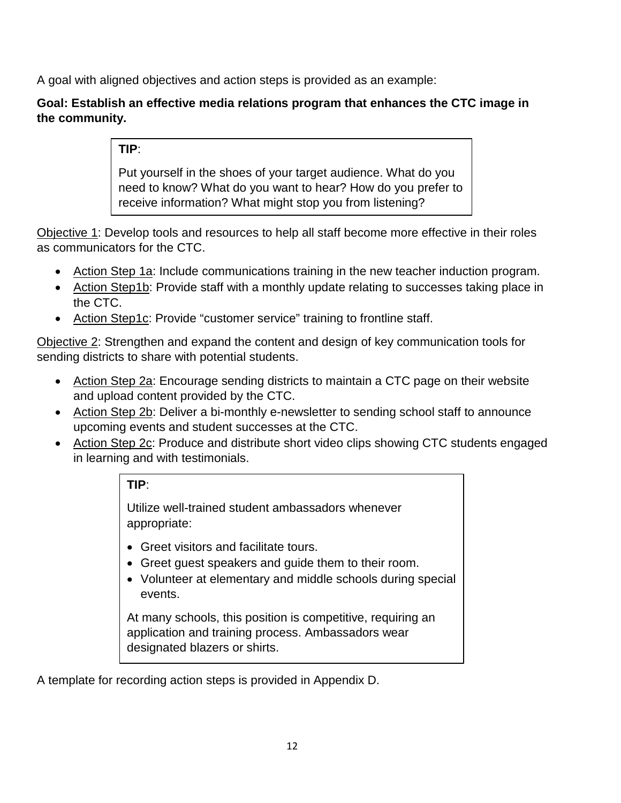A goal with aligned objectives and action steps is provided as an example:

**Goal: Establish an effective media relations program that enhances the CTC image in the community.**

**TIP**:

Put yourself in the shoes of your target audience. What do you need to know? What do you want to hear? How do you prefer to receive information? What might stop you from listening?

Objective 1: Develop tools and resources to help all staff become more effective in their roles as communicators for the CTC.

- Action Step 1a: Include communications training in the new teacher induction program.
- Action Step1b: Provide staff with a monthly update relating to successes taking place in the CTC.
- Action Step1c: Provide "customer service" training to frontline staff.

Objective 2: Strengthen and expand the content and design of key communication tools for sending districts to share with potential students.

- Action Step 2a: Encourage sending districts to maintain a CTC page on their website and upload content provided by the CTC.
- Action Step 2b: Deliver a bi-monthly e-newsletter to sending school staff to announce upcoming events and student successes at the CTC.
- Action Step 2c: Produce and distribute short video clips showing CTC students engaged in learning and with testimonials.

#### **TIP**:

Utilize well-trained student ambassadors whenever appropriate:

- Greet visitors and facilitate tours.
- Greet guest speakers and guide them to their room.
- Volunteer at elementary and middle schools during special events.

At many schools, this position is competitive, requiring an application and training process. Ambassadors wear designated blazers or shirts.

A template for recording action steps is provided in Appendix D.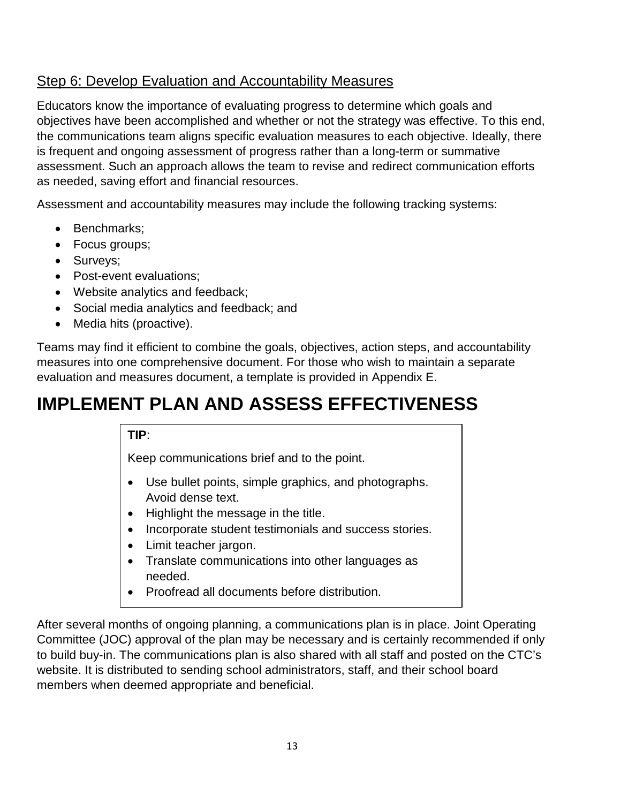### Step 6: Develop Evaluation and Accountability Measures

Educators know the importance of evaluating progress to determine which goals and objectives have been accomplished and whether or not the strategy was effective. To this end, the communications team aligns specific evaluation measures to each objective. Ideally, there is frequent and ongoing assessment of progress rather than a long-term or summative assessment. Such an approach allows the team to revise and redirect communication efforts as needed, saving effort and financial resources.

Assessment and accountability measures may include the following tracking systems:

- Benchmarks;
- Focus groups;
- Surveys;
- Post-event evaluations;
- Website analytics and feedback;
- Social media analytics and feedback; and
- Media hits (proactive).

Teams may find it efficient to combine the goals, objectives, action steps, and accountability measures into one comprehensive document. For those who wish to maintain a separate evaluation and measures document, a template is provided in Appendix E.

## **IMPLEMENT PLAN AND ASSESS EFFECTIVENESS**

#### **TIP**:

Keep communications brief and to the point.

- Use bullet points, simple graphics, and photographs. Avoid dense text.
- Highlight the message in the title.
- Incorporate student testimonials and success stories.
- Limit teacher jargon.
- Translate communications into other languages as needed.
- Proofread all documents before distribution.

After several months of ongoing planning, a communications plan is in place. Joint Operating Committee (JOC) approval of the plan may be necessary and is certainly recommended if only to build buy-in. The communications plan is also shared with all staff and posted on the CTC's website. It is distributed to sending school administrators, staff, and their school board members when deemed appropriate and beneficial.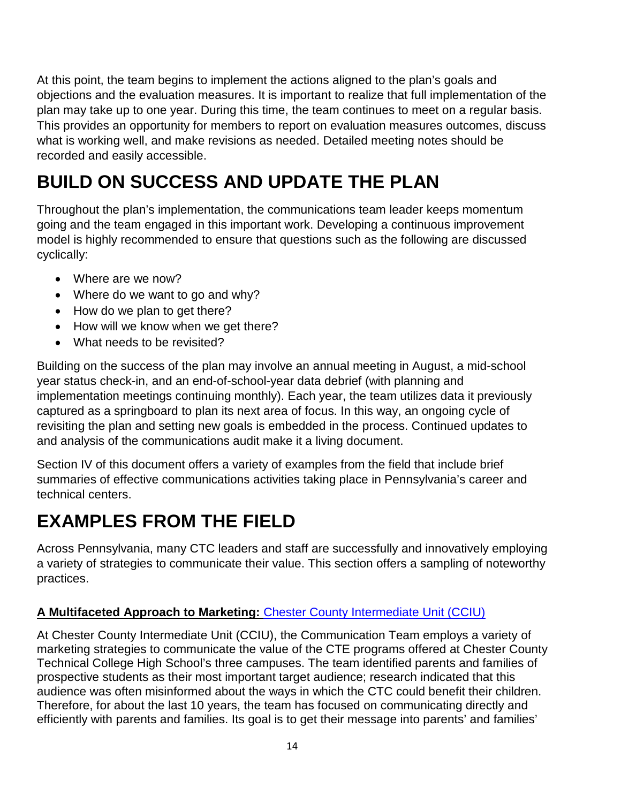At this point, the team begins to implement the actions aligned to the plan's goals and objections and the evaluation measures. It is important to realize that full implementation of the plan may take up to one year. During this time, the team continues to meet on a regular basis. This provides an opportunity for members to report on evaluation measures outcomes, discuss what is working well, and make revisions as needed. Detailed meeting notes should be recorded and easily accessible.

## **BUILD ON SUCCESS AND UPDATE THE PLAN**

Throughout the plan's implementation, the communications team leader keeps momentum going and the team engaged in this important work. Developing a continuous improvement model is highly recommended to ensure that questions such as the following are discussed cyclically:

- Where are we now?
- Where do we want to go and why?
- How do we plan to get there?
- How will we know when we get there?
- What needs to be revisited?

Building on the success of the plan may involve an annual meeting in August, a mid-school year status check-in, and an end-of-school-year data debrief (with planning and implementation meetings continuing monthly). Each year, the team utilizes data it previously captured as a springboard to plan its next area of focus. In this way, an ongoing cycle of revisiting the plan and setting new goals is embedded in the process. Continued updates to and analysis of the communications audit make it a living document.

Section IV of this document offers a variety of examples from the field that include brief summaries of effective communications activities taking place in Pennsylvania's career and technical centers.

## **EXAMPLES FROM THE FIELD**

Across Pennsylvania, many CTC leaders and staff are successfully and innovatively employing a variety of strategies to communicate their value. This section offers a sampling of noteworthy practices.

#### **A Multifaceted Approach to Marketing:** [Chester County Intermediate Unit](http://www.cciu.org/site/default.aspx?PageType=3&DomainID=1&ModuleInstanceID=898&ViewID=047E6BE3-6D87-4130-8424-D8E4E9ED6C2A&RenderLoc=0&FlexDataID=4820&PageID=1) (CCIU)

At Chester County Intermediate Unit (CCIU), the Communication Team employs a variety of marketing strategies to communicate the value of the CTE programs offered at Chester County Technical College High School's three campuses. The team identified parents and families of prospective students as their most important target audience; research indicated that this audience was often misinformed about the ways in which the CTC could benefit their children. Therefore, for about the last 10 years, the team has focused on communicating directly and efficiently with parents and families. Its goal is to get their message into parents' and families'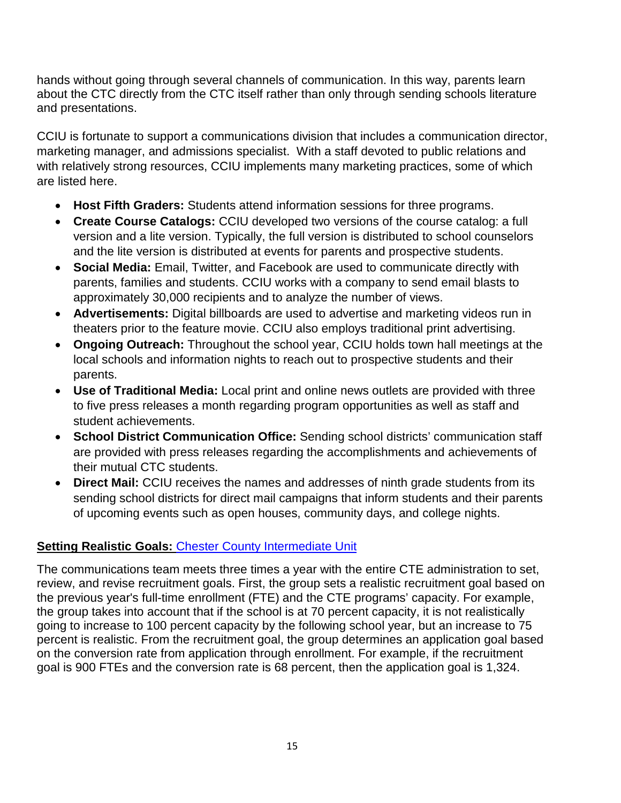hands without going through several channels of communication. In this way, parents learn about the CTC directly from the CTC itself rather than only through sending schools literature and presentations.

CCIU is fortunate to support a communications division that includes a communication director, marketing manager, and admissions specialist. With a staff devoted to public relations and with relatively strong resources, CCIU implements many marketing practices, some of which are listed here.

- **Host Fifth Graders:** Students attend information sessions for three programs.
- **Create Course Catalogs:** CCIU developed two versions of the course catalog: a full version and a lite version. Typically, the full version is distributed to school counselors and the lite version is distributed at events for parents and prospective students.
- **Social Media:** Email, Twitter, and Facebook are used to communicate directly with parents, families and students. CCIU works with a company to send email blasts to approximately 30,000 recipients and to analyze the number of views.
- **Advertisements:** Digital billboards are used to advertise and marketing videos run in theaters prior to the feature movie. CCIU also employs traditional print advertising.
- **Ongoing Outreach:** Throughout the school year, CCIU holds town hall meetings at the local schools and information nights to reach out to prospective students and their parents.
- **Use of Traditional Media:** Local print and online news outlets are provided with three to five press releases a month regarding program opportunities as well as staff and student achievements.
- **School District Communication Office:** Sending school districts' communication staff are provided with press releases regarding the accomplishments and achievements of their mutual CTC students.
- **Direct Mail:** CCIU receives the names and addresses of ninth grade students from its sending school districts for direct mail campaigns that inform students and their parents of upcoming events such as open houses, community days, and college nights.

### **Setting Realistic Goals: [Chester County Intermediate Unit](http://www.cciu.org/site/default.aspx?PageType=3&DomainID=1&ModuleInstanceID=898&ViewID=047E6BE3-6D87-4130-8424-D8E4E9ED6C2A&RenderLoc=0&FlexDataID=4820&PageID=1)**

The communications team meets three times a year with the entire CTE administration to set, review, and revise recruitment goals. First, the group sets a realistic recruitment goal based on the previous year's full-time enrollment (FTE) and the CTE programs' capacity. For example, the group takes into account that if the school is at 70 percent capacity, it is not realistically going to increase to 100 percent capacity by the following school year, but an increase to 75 percent is realistic. From the recruitment goal, the group determines an application goal based on the conversion rate from application through enrollment. For example, if the recruitment goal is 900 FTEs and the conversion rate is 68 percent, then the application goal is 1,324.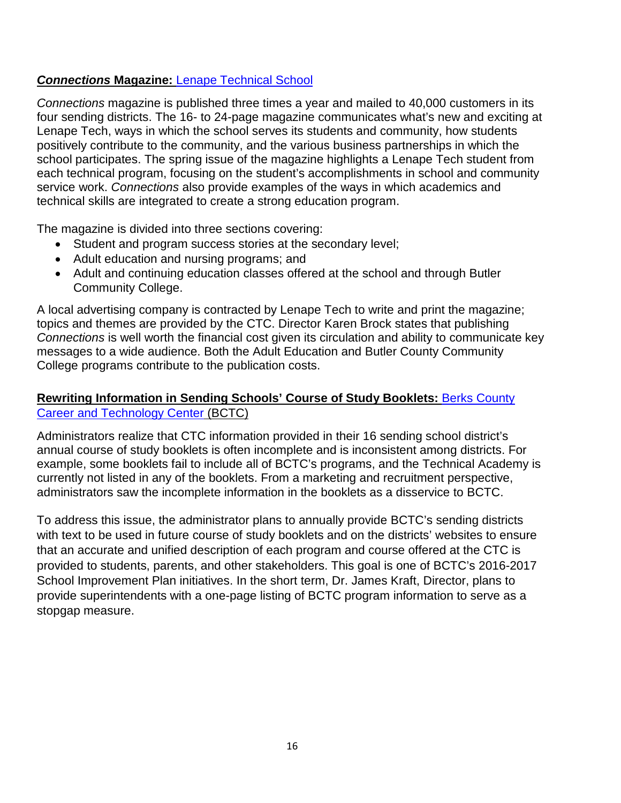#### *Connections* **Magazine:** [Lenape Technical School](http://www.lenape.k12.pa.us/)

*Connections* magazine is published three times a year and mailed to 40,000 customers in its four sending districts. The 16- to 24-page magazine communicates what's new and exciting at Lenape Tech, ways in which the school serves its students and community, how students positively contribute to the community, and the various business partnerships in which the school participates. The spring issue of the magazine highlights a Lenape Tech student from each technical program, focusing on the student's accomplishments in school and community service work. *Connections* also provide examples of the ways in which academics and technical skills are integrated to create a strong education program.

The magazine is divided into three sections covering:

- Student and program success stories at the secondary level;
- Adult education and nursing programs; and
- Adult and continuing education classes offered at the school and through Butler Community College.

A local advertising company is contracted by Lenape Tech to write and print the magazine; topics and themes are provided by the CTC. Director Karen Brock states that publishing *Connections* is well worth the financial cost given its circulation and ability to communicate key messages to a wide audience. Both the Adult Education and Butler County Community College programs contribute to the publication costs.

#### **Rewriting Information in Sending Schools' Course of Study Booklets:** [Berks County](http://www.berkscareer.com/)  [Career and Technology Center](http://www.berkscareer.com/) (BCTC)

Administrators realize that CTC information provided in their 16 sending school district's annual course of study booklets is often incomplete and is inconsistent among districts. For example, some booklets fail to include all of BCTC's programs, and the Technical Academy is currently not listed in any of the booklets. From a marketing and recruitment perspective, administrators saw the incomplete information in the booklets as a disservice to BCTC.

To address this issue, the administrator plans to annually provide BCTC's sending districts with text to be used in future course of study booklets and on the districts' websites to ensure that an accurate and unified description of each program and course offered at the CTC is provided to students, parents, and other stakeholders. This goal is one of BCTC's 2016-2017 School Improvement Plan initiatives. In the short term, Dr. James Kraft, Director, plans to provide superintendents with a one-page listing of BCTC program information to serve as a stopgap measure.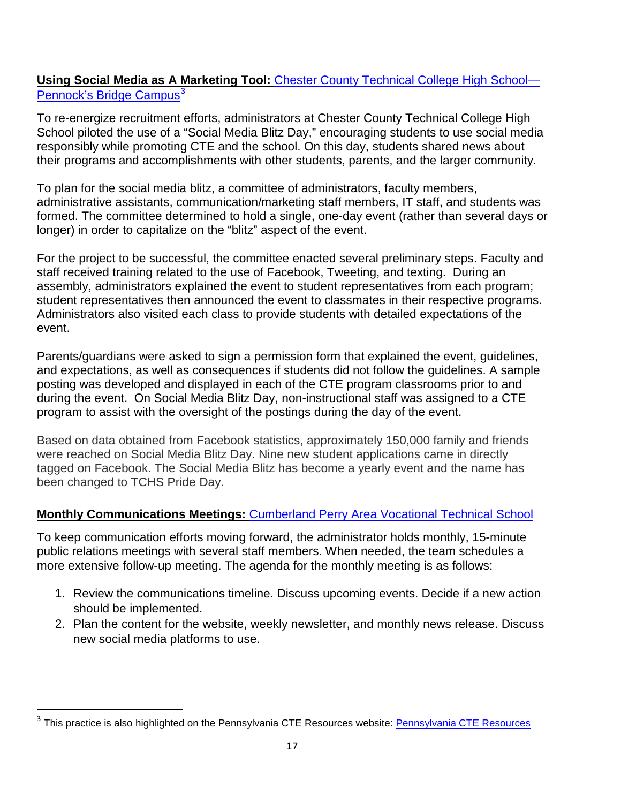#### **Using Social Media as A Marketing Tool:** Chester County [Technical](http://www.cciu.org/tchspennocksbridge) College High School— [Pennock's](http://www.cciu.org/tchspennocksbridge) Bridge Campus $^3$  $^3$

To re-energize recruitment efforts, administrators at Chester County Technical College High School piloted the use of a "Social Media Blitz Day," encouraging students to use social media responsibly while promoting CTE and the school. On this day, students shared news about their programs and accomplishments with other students, parents, and the larger community.

To plan for the social media blitz, a committee of administrators, faculty members, administrative assistants, communication/marketing staff members, IT staff, and students was formed. The committee determined to hold a single, one-day event (rather than several days or longer) in order to capitalize on the "blitz" aspect of the event.

For the project to be successful, the committee enacted several preliminary steps. Faculty and staff received training related to the use of Facebook, Tweeting, and texting. During an assembly, administrators explained the event to student representatives from each program; student representatives then announced the event to classmates in their respective programs. Administrators also visited each class to provide students with detailed expectations of the event.

Parents/guardians were asked to sign a permission form that explained the event, guidelines, and expectations, as well as consequences if students did not follow the guidelines. A sample posting was developed and displayed in each of the CTE program classrooms prior to and during the event. On Social Media Blitz Day, non-instructional staff was assigned to a CTE program to assist with the oversight of the postings during the day of the event.

Based on data obtained from Facebook statistics, approximately 150,000 family and friends were reached on Social Media Blitz Day. Nine new student applications came in directly tagged on Facebook. The Social Media Blitz has become a yearly event and the name has been changed to TCHS Pride Day.

#### **Monthly Communications Meetings:** [Cumberland Perry Area Vocational Technical School](http://www.cpavts.org/)

To keep communication efforts moving forward, the administrator holds monthly, 15-minute public relations meetings with several staff members. When needed, the team schedules a more extensive follow-up meeting. The agenda for the monthly meeting is as follows:

- 1. Review the communications timeline. Discuss upcoming events. Decide if a new action should be implemented.
- 2. Plan the content for the website, weekly newsletter, and monthly news release. Discuss new social media platforms to use.

<span id="page-18-0"></span>This practice is also highlighted on the [Pennsylvania CTE Resources](http://pacteresources.com/2016/10/using-social-media-for-student-recruitment-retention/) website: Pennsylvania CTE Resources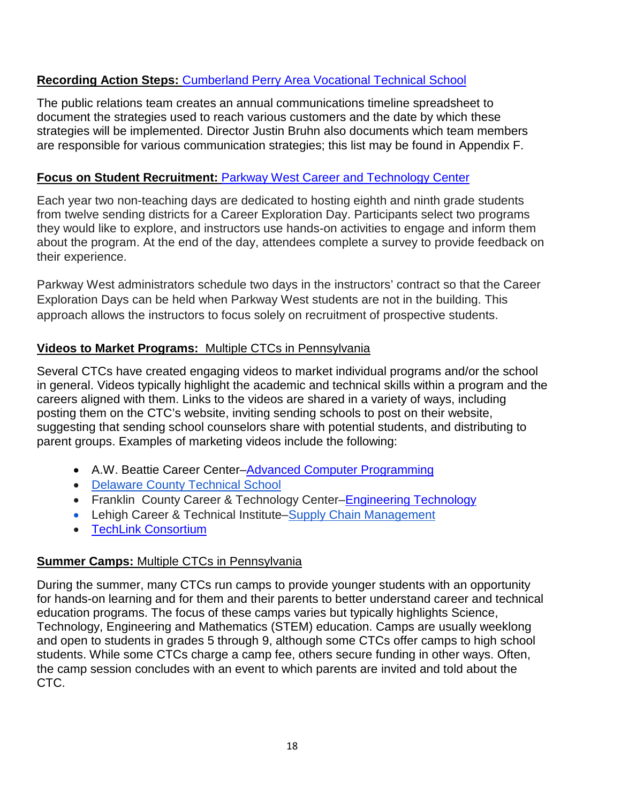#### **Recording Action Steps:** [Cumberland Perry Area Vocational Technical School](http://www.cpavts.org/)

The public relations team creates an annual communications timeline spreadsheet to document the strategies used to reach various customers and the date by which these strategies will be implemented. Director Justin Bruhn also documents which team members are responsible for various communication strategies; this list may be found in Appendix F.

#### **Focus on Student Recruitment:** Parkway West [Career and Technology Center](http://www.parkwaywest.org/)

Each year two non-teaching days are dedicated to hosting eighth and ninth grade students from twelve sending districts for a Career Exploration Day. Participants select two programs they would like to explore, and instructors use hands-on activities to engage and inform them about the program. At the end of the day, attendees complete a survey to provide feedback on their experience.

Parkway West administrators schedule two days in the instructors' contract so that the Career Exploration Days can be held when Parkway West students are not in the building. This approach allows the instructors to focus solely on recruitment of prospective students.

#### **Videos to Market Programs:** Multiple CTCs in Pennsylvania

Several CTCs have created engaging videos to market individual programs and/or the school in general. Videos typically highlight the academic and technical skills within a program and the careers aligned with them. Links to the videos are shared in a variety of ways, including posting them on the CTC's website, inviting sending schools to post on their website, suggesting that sending school counselors share with potential students, and distributing to parent groups. Examples of marketing videos include the following:

- A.W. Beattie Career Center[–Advanced Computer Programming](http://www.beattietech.com/advcompprog.html)
- [Delaware County Technical School](https://www.youtube.com/watch?v=fLuqd-YYTwE)
- Franklin County Career & Technology Center[–Engineering Technology](http://www2.franklinctc.com/secondary-education/academies/stem-manufacturing/engineering-technology/)
- Lehigh Career & Technical Institute[–Supply Chain Management](http://www.lcti.org/prospective-student-course/material-handling-logistics-technology/)
- [TechLink Consortium](http://www.techlinkpa.com/about-us.html)

#### **Summer Camps:** Multiple CTCs in Pennsylvania

During the summer, many CTCs run camps to provide younger students with an opportunity for hands-on learning and for them and their parents to better understand career and technical education programs. The focus of these camps varies but typically highlights Science, Technology, Engineering and Mathematics (STEM) education. Camps are usually weeklong and open to students in grades 5 through 9, although some CTCs offer camps to high school students. While some CTCs charge a camp fee, others secure funding in other ways. Often, the camp session concludes with an event to which parents are invited and told about the CTC.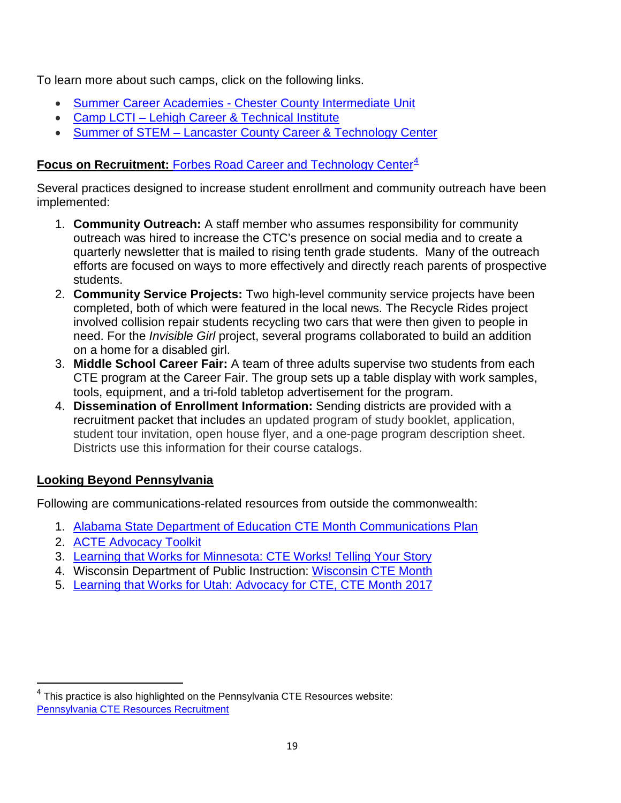To learn more about such camps, click on the following links.

- Summer Career Academies [Chester County Intermediate Unit](http://www.cciu.org/site/default.aspx?PageType=3&DomainID=1&ModuleInstanceID=898&ViewID=047E6BE3-6D87-4130-8424-D8E4E9ED6C2A&RenderLoc=0&FlexDataID=4820&PageID=1)
- Camp LCTI [Lehigh Career & Technical Institute](http://www.lcti.org/camplcti/)
- Summer of STEM [Lancaster County Career & Technology Center](https://lancasterctc.edu/2016/05/join-us-summer-stem/)

#### **Focus on Recruitment: Forbes Road Career and [Technology](http://www.forbesroad.org/?page_id=8607) Center<sup>[4](#page-20-0)</sup>**

Several practices designed to increase student enrollment and community outreach have been implemented:

- 1. **Community Outreach:** A staff member who assumes responsibility for community outreach was hired to increase the CTC's presence on social media and to create a quarterly newsletter that is mailed to rising tenth grade students. Many of the outreach efforts are focused on ways to more effectively and directly reach parents of prospective students.
- 2. **Community Service Projects:** Two high-level community service projects have been completed, both of which were featured in the local news. The Recycle Rides project involved collision repair students recycling two cars that were then given to people in need. For the *Invisible Girl* project, several programs collaborated to build an addition on a home for a disabled girl.
- 3. **Middle School Career Fair:** A team of three adults supervise two students from each CTE program at the Career Fair. The group sets up a table display with work samples, tools, equipment, and a tri-fold tabletop advertisement for the program.
- 4. **Dissemination of Enrollment Information:** Sending districts are provided with a recruitment packet that includes an updated program of study booklet, application, student tour invitation, open house flyer, and a one-page program description sheet. Districts use this information for their course catalogs.

### **Looking Beyond Pennsylvania**

Following are communications-related resources from outside the commonwealth:

- 1. [Alabama State Department of Education CTE Month Communications Plan](https://www.alsde.edu/sites/memos/Memoranda/FY16-4000.pdf)
- 2. [ACTE Advocacy Toolkit](https://www.acteonline.org/advocacy/#.WL7YNRjMyRt)
- 3. [Learning that Works for Minnesota: CTE Works! Telling Your Story](https://www.mnscu.edu/system/cte/consortium_resources/campaign/fact-sheet-guidelines.pdf)
- 4. Wisconsin Department of Public Instruction: [Wisconsin CTE Month](https://dpi.wi.gov/cte/advocacy/cte-month)
- 5. [Learning that Works for Utah: Advocacy for CTE, CTE Month 2017](http://www.schools.utah.gov/cte/Feb2017/Joint4_AdvocacyIdeas.pdf)

<span id="page-20-0"></span>This practice is also highlighted on the Pennsylvania CTE Resources website: [Pennsylvania CTE Resources Recruitment](http://pacteresources.com/2016/03/career-and-technology-center-recruitment-plan/)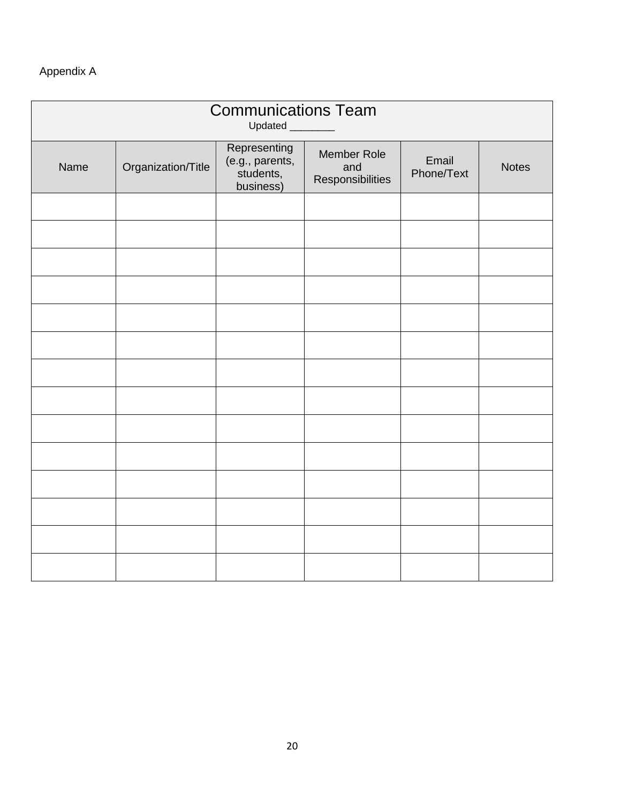#### Appendix A

| <b>Communications Team</b><br>Updated |                    |                                                           |                                        |                     |              |
|---------------------------------------|--------------------|-----------------------------------------------------------|----------------------------------------|---------------------|--------------|
| Name                                  | Organization/Title | Representing<br>(e.g., parents,<br>students,<br>business) | Member Role<br>and<br>Responsibilities | Email<br>Phone/Text | <b>Notes</b> |
|                                       |                    |                                                           |                                        |                     |              |
|                                       |                    |                                                           |                                        |                     |              |
|                                       |                    |                                                           |                                        |                     |              |
|                                       |                    |                                                           |                                        |                     |              |
|                                       |                    |                                                           |                                        |                     |              |
|                                       |                    |                                                           |                                        |                     |              |
|                                       |                    |                                                           |                                        |                     |              |
|                                       |                    |                                                           |                                        |                     |              |
|                                       |                    |                                                           |                                        |                     |              |
|                                       |                    |                                                           |                                        |                     |              |
|                                       |                    |                                                           |                                        |                     |              |
|                                       |                    |                                                           |                                        |                     |              |
|                                       |                    |                                                           |                                        |                     |              |
|                                       |                    |                                                           |                                        |                     |              |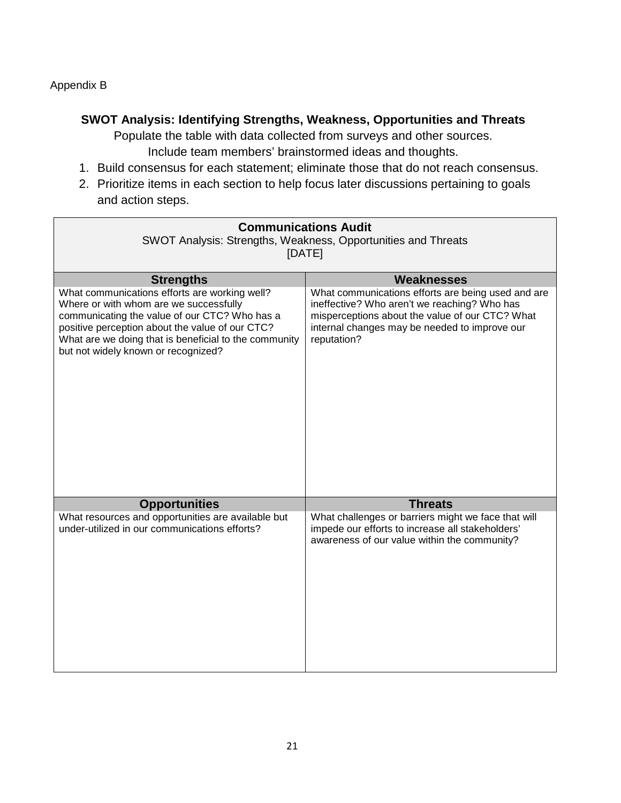#### Appendix B

#### **SWOT Analysis: Identifying Strengths, Weakness, Opportunities and Threats**

Populate the table with data collected from surveys and other sources. Include team members' brainstormed ideas and thoughts.

- 1. Build consensus for each statement; eliminate those that do not reach consensus.
- 2. Prioritize items in each section to help focus later discussions pertaining to goals and action steps.

| <b>Communications Audit</b><br>SWOT Analysis: Strengths, Weakness, Opportunities and Threats<br>[DATE]                                                                                                                                                                                                          |                                                                                                                                                                                                                                            |  |  |
|-----------------------------------------------------------------------------------------------------------------------------------------------------------------------------------------------------------------------------------------------------------------------------------------------------------------|--------------------------------------------------------------------------------------------------------------------------------------------------------------------------------------------------------------------------------------------|--|--|
| <b>Strengths</b><br>What communications efforts are working well?<br>Where or with whom are we successfully<br>communicating the value of our CTC? Who has a<br>positive perception about the value of our CTC?<br>What are we doing that is beneficial to the community<br>but not widely known or recognized? | <b>Weaknesses</b><br>What communications efforts are being used and are<br>ineffective? Who aren't we reaching? Who has<br>misperceptions about the value of our CTC? What<br>internal changes may be needed to improve our<br>reputation? |  |  |
| <b>Opportunities</b><br>What resources and opportunities are available but<br>under-utilized in our communications efforts?                                                                                                                                                                                     | <b>Threats</b><br>What challenges or barriers might we face that will<br>impede our efforts to increase all stakeholders'<br>awareness of our value within the community?                                                                  |  |  |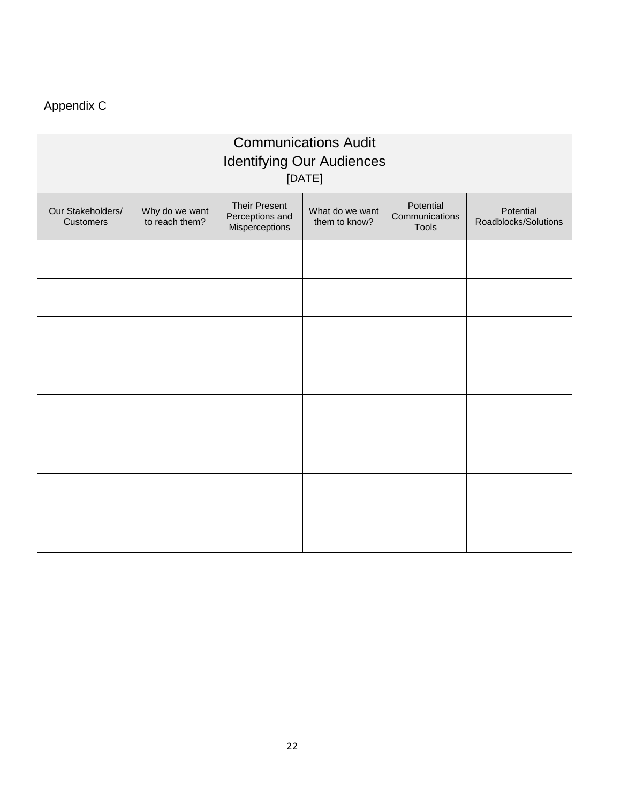## Appendix C

| <b>Communications Audit</b><br><b>Identifying Our Audiences</b><br>[DATE] |                                  |                                                           |                                  |                                             |                                   |
|---------------------------------------------------------------------------|----------------------------------|-----------------------------------------------------------|----------------------------------|---------------------------------------------|-----------------------------------|
| Our Stakeholders/<br><b>Customers</b>                                     | Why do we want<br>to reach them? | <b>Their Present</b><br>Perceptions and<br>Misperceptions | What do we want<br>them to know? | Potential<br>Communications<br><b>Tools</b> | Potential<br>Roadblocks/Solutions |
|                                                                           |                                  |                                                           |                                  |                                             |                                   |
|                                                                           |                                  |                                                           |                                  |                                             |                                   |
|                                                                           |                                  |                                                           |                                  |                                             |                                   |
|                                                                           |                                  |                                                           |                                  |                                             |                                   |
|                                                                           |                                  |                                                           |                                  |                                             |                                   |
|                                                                           |                                  |                                                           |                                  |                                             |                                   |
|                                                                           |                                  |                                                           |                                  |                                             |                                   |
|                                                                           |                                  |                                                           |                                  |                                             |                                   |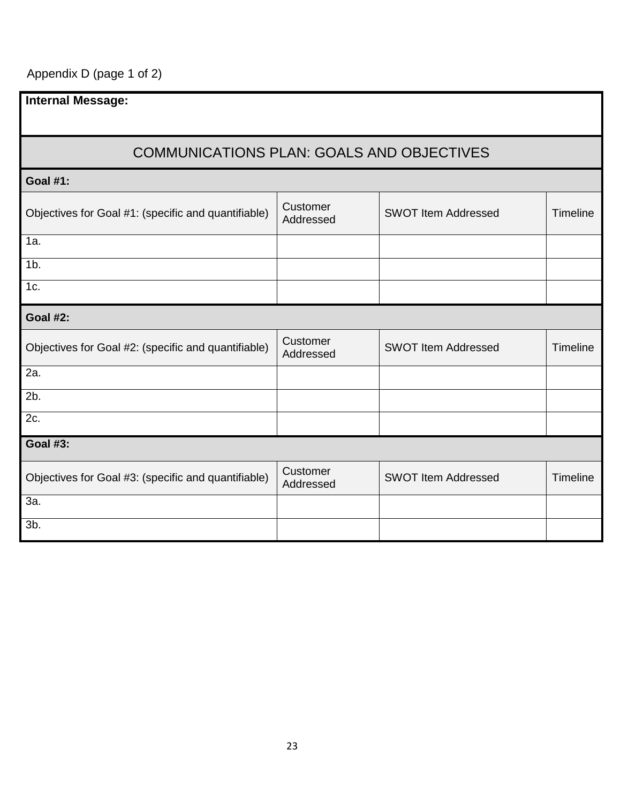Appendix D (page 1 of 2)

| <b>Internal Message:</b>                            |                       |                            |          |  |
|-----------------------------------------------------|-----------------------|----------------------------|----------|--|
| <b>COMMUNICATIONS PLAN: GOALS AND OBJECTIVES</b>    |                       |                            |          |  |
| <b>Goal #1:</b>                                     |                       |                            |          |  |
| Objectives for Goal #1: (specific and quantifiable) | Customer<br>Addressed | <b>SWOT Item Addressed</b> | Timeline |  |
| 1a.                                                 |                       |                            |          |  |
| $1b$ .                                              |                       |                            |          |  |
| 1c.                                                 |                       |                            |          |  |
| <b>Goal #2:</b>                                     |                       |                            |          |  |
| Objectives for Goal #2: (specific and quantifiable) | Customer<br>Addressed | <b>SWOT Item Addressed</b> | Timeline |  |
| 2a.                                                 |                       |                            |          |  |
| 2b.                                                 |                       |                            |          |  |
| 2c.                                                 |                       |                            |          |  |
| <b>Goal #3:</b>                                     |                       |                            |          |  |
| Objectives for Goal #3: (specific and quantifiable) | Customer<br>Addressed | <b>SWOT Item Addressed</b> | Timeline |  |
| 3a.                                                 |                       |                            |          |  |
| 3b.                                                 |                       |                            |          |  |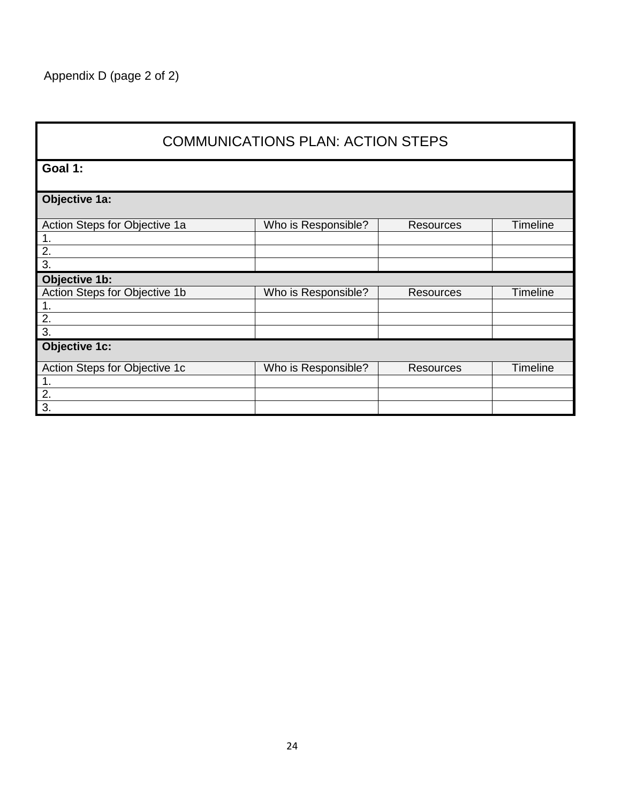| <b>COMMUNICATIONS PLAN: ACTION STEPS</b> |                     |                  |                 |  |
|------------------------------------------|---------------------|------------------|-----------------|--|
| Goal 1:                                  |                     |                  |                 |  |
| Objective 1a:                            |                     |                  |                 |  |
| Action Steps for Objective 1a            | Who is Responsible? | <b>Resources</b> | <b>Timeline</b> |  |
| $\mathbf 1$ .                            |                     |                  |                 |  |
| $\overline{2}$ .                         |                     |                  |                 |  |
| $\overline{3}$ .                         |                     |                  |                 |  |
| Objective 1b:                            |                     |                  |                 |  |
| Action Steps for Objective 1b            | Who is Responsible? | <b>Resources</b> | <b>Timeline</b> |  |
| 1.                                       |                     |                  |                 |  |
| 2.                                       |                     |                  |                 |  |
| $\overline{3}$ .                         |                     |                  |                 |  |
| <b>Objective 1c:</b>                     |                     |                  |                 |  |
|                                          |                     |                  |                 |  |
| Action Steps for Objective 1c            | Who is Responsible? | <b>Resources</b> | <b>Timeline</b> |  |
| 1.                                       |                     |                  |                 |  |
| $\overline{2}$ .<br>3.                   |                     |                  |                 |  |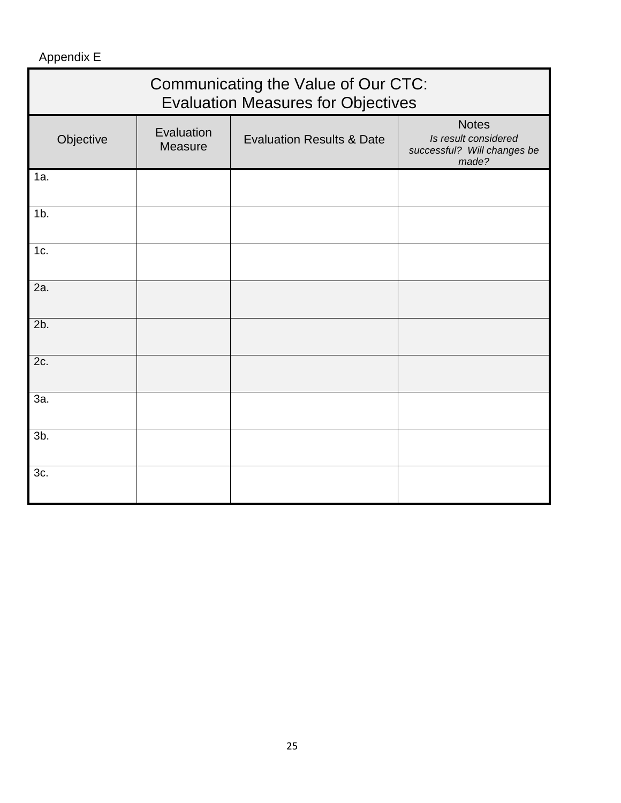### Appendix E

| Communicating the Value of Our CTC:<br><b>Evaluation Measures for Objectives</b> |                       |                                      |                                                                              |  |
|----------------------------------------------------------------------------------|-----------------------|--------------------------------------|------------------------------------------------------------------------------|--|
| Objective                                                                        | Evaluation<br>Measure | <b>Evaluation Results &amp; Date</b> | <b>Notes</b><br>Is result considered<br>successful? Will changes be<br>made? |  |
| 1a.                                                                              |                       |                                      |                                                                              |  |
| $1b$ .                                                                           |                       |                                      |                                                                              |  |
| 1c.                                                                              |                       |                                      |                                                                              |  |
| 2a.                                                                              |                       |                                      |                                                                              |  |
| 2b.                                                                              |                       |                                      |                                                                              |  |
| 2c.                                                                              |                       |                                      |                                                                              |  |
| 3a.                                                                              |                       |                                      |                                                                              |  |
| 3b.                                                                              |                       |                                      |                                                                              |  |
| 3c.                                                                              |                       |                                      |                                                                              |  |